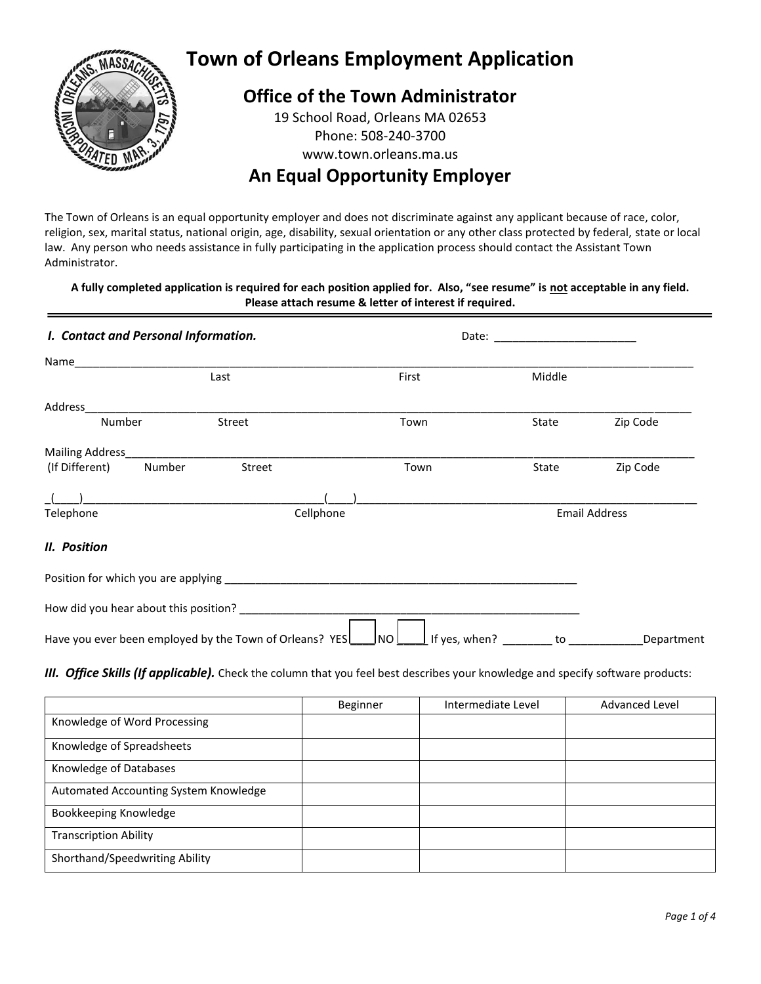

# **Town of Orleans Employment Application**

# **Office of the Town Administrator**

19 School Road, Orleans MA 02653 Phone: 508-240-3700 www.town.orleans.ma.us

# **An Equal Opportunity Employer**

The Town of Orleans is an equal opportunity employer and does not discriminate against any applicant because of race, color, religion, sex, marital status, national origin, age, disability, sexual orientation or any other class protected by federal, state or local law. Any person who needs assistance in fully participating in the application process should contact the Assistant Town Administrator.

### **A fully completed application is required for each position applied for. Also, "see resume" is not acceptable in any field. Please attach resume & letter of interest if required.**

| I. Contact and Personal Information.                    |           |       | Date: __________________________ |                                                                                                                                                                                                                                              |  |
|---------------------------------------------------------|-----------|-------|----------------------------------|----------------------------------------------------------------------------------------------------------------------------------------------------------------------------------------------------------------------------------------------|--|
|                                                         |           |       |                                  |                                                                                                                                                                                                                                              |  |
| Last                                                    |           | First | Middle                           |                                                                                                                                                                                                                                              |  |
|                                                         |           |       |                                  |                                                                                                                                                                                                                                              |  |
| Number                                                  | Street    | Town  | State                            | Zip Code                                                                                                                                                                                                                                     |  |
|                                                         |           |       |                                  |                                                                                                                                                                                                                                              |  |
| (If Different) Number                                   | Street    | Town  | State                            | Zip Code                                                                                                                                                                                                                                     |  |
| ) and the contract of the contract of $\mathcal{L}$     |           |       |                                  |                                                                                                                                                                                                                                              |  |
| Telephone                                               | Cellphone |       |                                  | <b>Email Address</b>                                                                                                                                                                                                                         |  |
| II. Position                                            |           |       |                                  |                                                                                                                                                                                                                                              |  |
|                                                         |           |       |                                  |                                                                                                                                                                                                                                              |  |
|                                                         |           |       |                                  |                                                                                                                                                                                                                                              |  |
| Have you ever been employed by the Town of Orleans? YES |           | Jnol  | If yes, when?                    | to the contract of the contract of the contract of the contract of the contract of the contract of the contract of the contract of the contract of the contract of the contract of the contract of the contract of the contrac<br>Department |  |

### *III. Office Skills (If applicable).* Check the column that you feel best describes your knowledge and specify software products:

|                                       | Beginner | Intermediate Level | <b>Advanced Level</b> |
|---------------------------------------|----------|--------------------|-----------------------|
| Knowledge of Word Processing          |          |                    |                       |
| Knowledge of Spreadsheets             |          |                    |                       |
| Knowledge of Databases                |          |                    |                       |
| Automated Accounting System Knowledge |          |                    |                       |
| Bookkeeping Knowledge                 |          |                    |                       |
| <b>Transcription Ability</b>          |          |                    |                       |
| Shorthand/Speedwriting Ability        |          |                    |                       |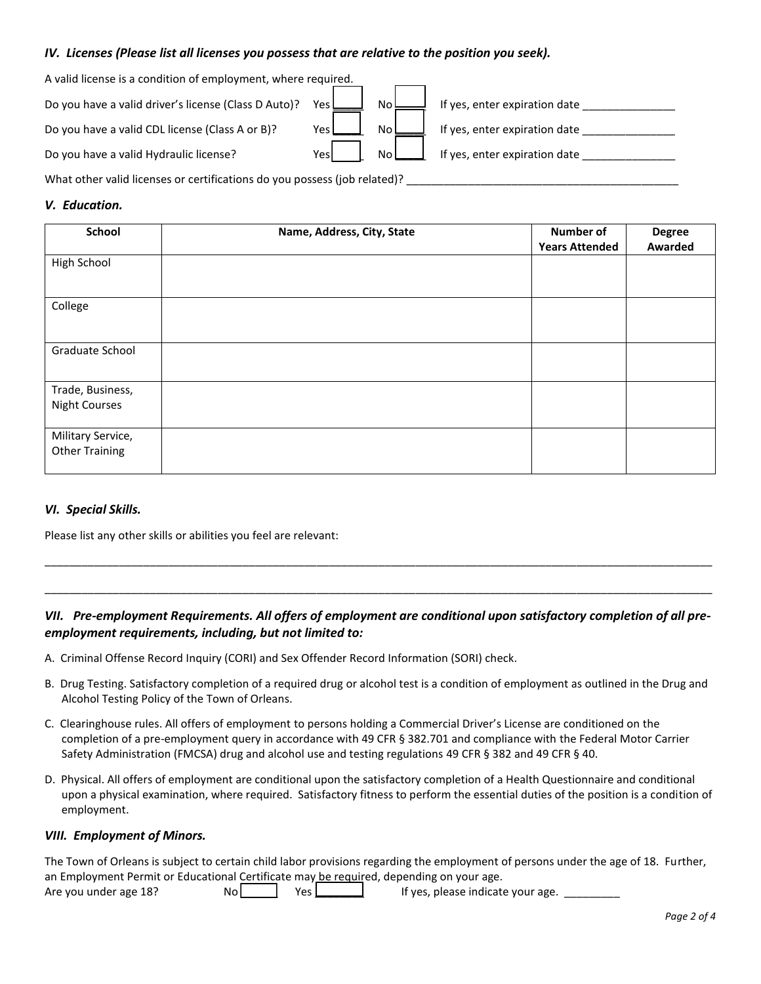#### *IV. Licenses (Please list all licenses you possess that are relative to the position you seek).*

| A valid license is a condition of employment, where required. |       |      |                               |
|---------------------------------------------------------------|-------|------|-------------------------------|
| Do you have a valid driver's license (Class D Auto)?          | Yes L | No l | If yes, enter expiration date |
| Do you have a valid CDL license (Class A or B)?               | Yes l | No.  | If yes, enter expiration date |
| Do you have a valid Hydraulic license?                        | Yesl  | No   | If yes, enter expiration date |

What other valid licenses or certifications do you possess (job related)?

#### *V. Education.*

| School                                     | Name, Address, City, State | <b>Number of</b><br><b>Years Attended</b> | <b>Degree</b><br>Awarded |
|--------------------------------------------|----------------------------|-------------------------------------------|--------------------------|
| High School                                |                            |                                           |                          |
| College                                    |                            |                                           |                          |
| Graduate School                            |                            |                                           |                          |
| Trade, Business,<br><b>Night Courses</b>   |                            |                                           |                          |
| Military Service,<br><b>Other Training</b> |                            |                                           |                          |

#### *VI. Special Skills.*

Please list any other skills or abilities you feel are relevant:

### *VII. Pre-employment Requirements. All offers of employment are conditional upon satisfactory completion of all preemployment requirements, including, but not limited to:*

\_\_\_\_\_\_\_\_\_\_\_\_\_\_\_\_\_\_\_\_\_\_\_\_\_\_\_\_\_\_\_\_\_\_\_\_\_\_\_\_\_\_\_\_\_\_\_\_\_\_\_\_\_\_\_\_\_\_\_\_\_\_\_\_\_\_\_\_\_\_\_\_\_\_\_\_\_\_\_\_\_\_\_\_\_\_\_\_\_\_\_\_\_\_\_\_\_\_\_\_\_\_\_\_\_\_\_\_

\_\_\_\_\_\_\_\_\_\_\_\_\_\_\_\_\_\_\_\_\_\_\_\_\_\_\_\_\_\_\_\_\_\_\_\_\_\_\_\_\_\_\_\_\_\_\_\_\_\_\_\_\_\_\_\_\_\_\_\_\_\_\_\_\_\_\_\_\_\_\_\_\_\_\_\_\_\_\_\_\_\_\_\_\_\_\_\_\_\_\_\_\_\_\_\_\_\_\_\_\_\_\_\_\_\_\_\_

- A. Criminal Offense Record Inquiry (CORI) and Sex Offender Record Information (SORI) check.
- B. Drug Testing. Satisfactory completion of a required drug or alcohol test is a condition of employment as outlined in the Drug and Alcohol Testing Policy of the Town of Orleans.
- C. Clearinghouse rules. All offers of employment to persons holding a Commercial Driver's License are conditioned on the completion of a pre-employment query in accordance with 49 CFR § 382.701 and compliance with the Federal Motor Carrier Safety Administration (FMCSA) drug and alcohol use and testing regulations 49 CFR § 382 and 49 CFR § 40.
- D. Physical. All offers of employment are conditional upon the satisfactory completion of a Health Questionnaire and conditional upon a physical examination, where required. Satisfactory fitness to perform the essential duties of the position is a condition of employment.

#### *VIII. Employment of Minors.*

The Town of Orleans is subject to certain child labor provisions regarding the employment of persons under the age of 18. Further, an Employment Permit or Educational Certificate may be required, depending on your age.

Are you under age 18?  $N_o$   $\begin{array}{c} N_o$   $\end{array}$  Yes  $\begin{array}{c} \end{array}$  If yes, please indicate your age.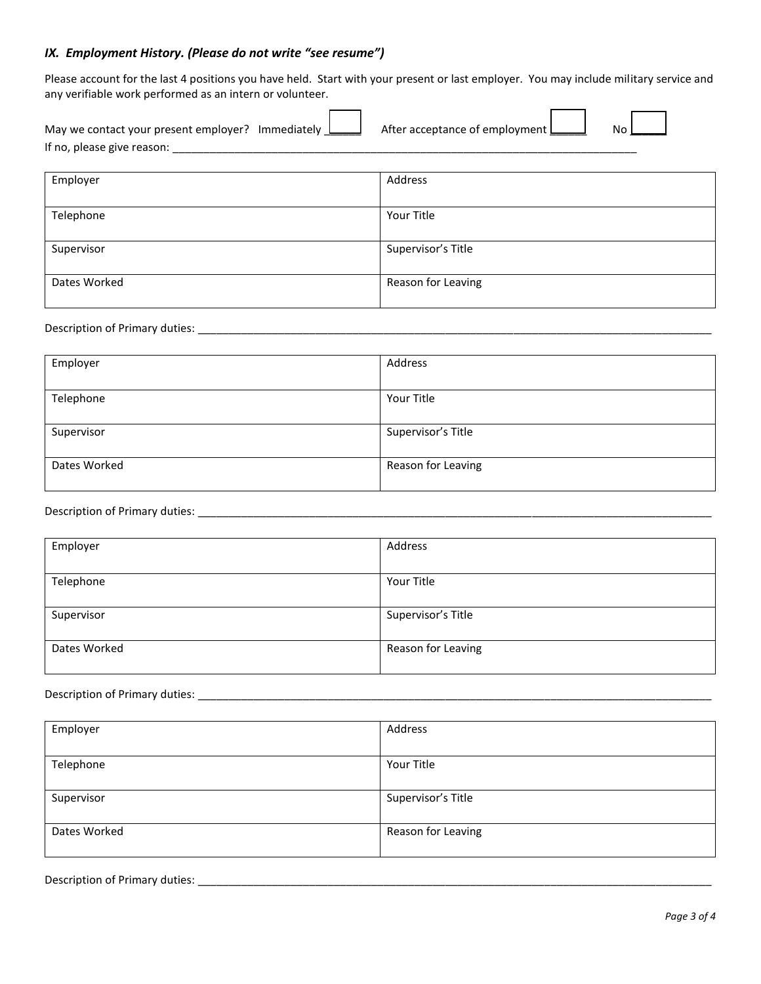### *IX. Employment History. (Please do not write "see resume")*

Please account for the last 4 positions you have held. Start with your present or last employer. You may include military service and any verifiable work performed as an intern or volunteer.

| May we contact your present employer?<br>Immediately | After acceptance of employment I | Nι |  |
|------------------------------------------------------|----------------------------------|----|--|
| If no, please give reason:                           |                                  |    |  |

| Employer     | Address            |
|--------------|--------------------|
| Telephone    | Your Title         |
|              |                    |
| Supervisor   | Supervisor's Title |
| Dates Worked | Reason for Leaving |

Description of Primary duties: \_\_\_\_\_\_\_\_\_\_\_\_\_\_\_\_\_\_\_\_\_\_\_\_\_\_\_\_\_\_\_\_\_\_\_\_\_\_\_\_\_\_\_\_\_\_\_\_\_\_\_\_\_\_\_\_\_\_\_\_\_\_\_\_\_\_\_\_\_\_\_\_\_\_\_\_\_\_\_\_\_\_\_

| Employer     | Address            |
|--------------|--------------------|
|              |                    |
| Telephone    | Your Title         |
|              |                    |
| Supervisor   | Supervisor's Title |
|              |                    |
| Dates Worked | Reason for Leaving |
|              |                    |

## Description of Primary duties: \_\_\_\_\_\_\_\_\_\_\_\_\_\_\_\_\_\_\_\_\_\_\_\_\_\_\_\_\_\_\_\_\_\_\_\_\_\_\_\_\_\_\_\_\_\_\_\_\_\_\_\_\_\_\_\_\_\_\_\_\_\_\_\_\_\_\_\_\_\_\_\_\_\_\_\_\_\_\_\_\_\_\_

| Employer     | Address            |
|--------------|--------------------|
| Telephone    | Your Title         |
| Supervisor   | Supervisor's Title |
| Dates Worked | Reason for Leaving |

#### Description of Primary duties: \_\_\_\_\_\_\_\_\_\_\_\_\_\_\_\_\_\_\_\_\_\_\_\_\_\_\_\_\_\_\_\_\_\_\_\_\_\_\_\_\_\_\_\_\_\_\_\_\_\_\_\_\_\_\_\_\_\_\_\_\_\_\_\_\_\_\_\_\_\_\_\_\_\_\_\_\_\_\_\_\_\_\_

| Employer     | Address            |
|--------------|--------------------|
| Telephone    | Your Title         |
| Supervisor   | Supervisor's Title |
| Dates Worked | Reason for Leaving |

Description of Primary duties: \_\_\_\_\_\_\_\_\_\_\_\_\_\_\_\_\_\_\_\_\_\_\_\_\_\_\_\_\_\_\_\_\_\_\_\_\_\_\_\_\_\_\_\_\_\_\_\_\_\_\_\_\_\_\_\_\_\_\_\_\_\_\_\_\_\_\_\_\_\_\_\_\_\_\_\_\_\_\_\_\_\_\_